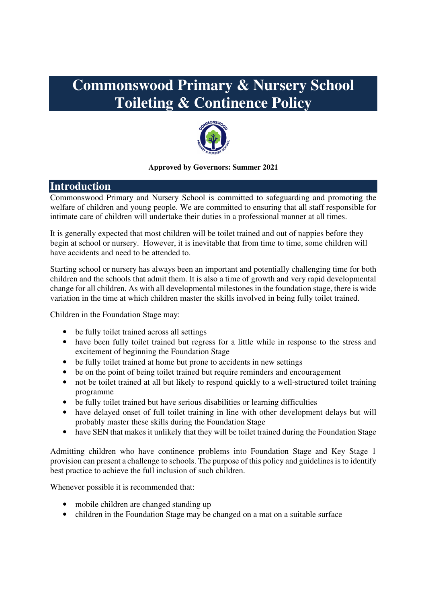# **Commonswood Primary & Nursery School Toileting & Continence Policy**



#### **Approved by Governors: Summer 2021**

# **Introduction**

Commonswood Primary and Nursery School is committed to safeguarding and promoting the welfare of children and young people. We are committed to ensuring that all staff responsible for intimate care of children will undertake their duties in a professional manner at all times.

It is generally expected that most children will be toilet trained and out of nappies before they begin at school or nursery. However, it is inevitable that from time to time, some children will have accidents and need to be attended to.

Starting school or nursery has always been an important and potentially challenging time for both children and the schools that admit them. It is also a time of growth and very rapid developmental change for all children. As with all developmental milestones in the foundation stage, there is wide variation in the time at which children master the skills involved in being fully toilet trained.

Children in the Foundation Stage may:

- be fully toilet trained across all settings
- have been fully toilet trained but regress for a little while in response to the stress and excitement of beginning the Foundation Stage
- be fully toilet trained at home but prone to accidents in new settings
- be on the point of being toilet trained but require reminders and encouragement
- not be toilet trained at all but likely to respond quickly to a well-structured toilet training programme
- be fully toilet trained but have serious disabilities or learning difficulties
- have delayed onset of full toilet training in line with other development delays but will probably master these skills during the Foundation Stage
- have SEN that makes it unlikely that they will be toilet trained during the Foundation Stage

Admitting children who have continence problems into Foundation Stage and Key Stage 1 provision can present a challenge to schools. The purpose of this policy and guidelines is to identify best practice to achieve the full inclusion of such children.

Whenever possible it is recommended that:

- mobile children are changed standing up
- children in the Foundation Stage may be changed on a mat on a suitable surface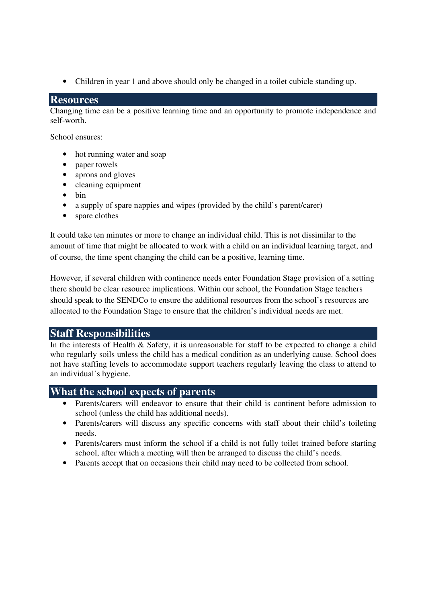• Children in year 1 and above should only be changed in a toilet cubicle standing up.

## **Resources**

Changing time can be a positive learning time and an opportunity to promote independence and self-worth.

School ensures:

- hot running water and soap
- paper towels
- aprons and gloves
- cleaning equipment
- bin
- a supply of spare nappies and wipes (provided by the child's parent/carer)
- spare clothes

It could take ten minutes or more to change an individual child. This is not dissimilar to the amount of time that might be allocated to work with a child on an individual learning target, and of course, the time spent changing the child can be a positive, learning time.

However, if several children with continence needs enter Foundation Stage provision of a setting there should be clear resource implications. Within our school, the Foundation Stage teachers should speak to the SENDCo to ensure the additional resources from the school's resources are allocated to the Foundation Stage to ensure that the children's individual needs are met.

## **Staff Responsibilities**

In the interests of Health & Safety, it is unreasonable for staff to be expected to change a child who regularly soils unless the child has a medical condition as an underlying cause. School does not have staffing levels to accommodate support teachers regularly leaving the class to attend to an individual's hygiene.

## **What the school expects of parents**

- Parents/carers will endeavor to ensure that their child is continent before admission to school (unless the child has additional needs).
- Parents/carers will discuss any specific concerns with staff about their child's toileting needs.
- Parents/carers must inform the school if a child is not fully toilet trained before starting school, after which a meeting will then be arranged to discuss the child's needs.
- Parents accept that on occasions their child may need to be collected from school.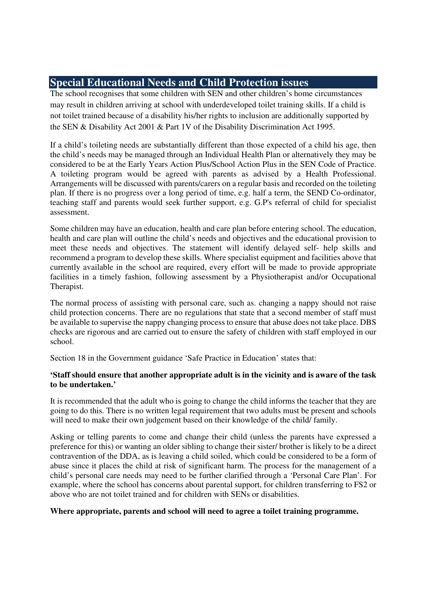# **Special Educational Needs and Child Protection issues**

The school recognises that some children with SEN and other children's home circumstances may result in children arriving at school with underdeveloped toilet training skills. If a child is not toilet trained because of a disability his/her rights to inclusion are additionally supported by the SEN & Disability Act 2001 & Part 1V of the Disability Discrimination Act 1995.

If a child's toileting needs are substantially different than those expected of a child his age, then the child's needs may be managed through an Individual Health Plan or alternatively they may be considered to be at the Early Years Action Plus/School Action Plus in the SEN Code of Practice. A toileting program would be agreed with parents as advised by a Health Professional. Arrangements will be discussed with parents/carers on a regular basis and recorded on the toileting plan. If there is no progress over a long period of time, e.g. half a term, the SEND Co-ordinator, teaching staff and parents would seek further support, e.g. G.P's referral of child for specialist assessment.

Some children may have an education, health and care plan before entering school. The education, health and care plan will outline the child's needs and objectives and the educational provision to meet these needs and objectives. The statement will identify delayed self- help skills and recommend a program to develop these skills. Where specialist equipment and facilities above that currently available in the school are required, every effort will be made to provide appropriate facilities in a timely fashion, following assessment by a Physiotherapist and/or Occupational Therapist.

The normal process of assisting with personal care, such as. changing a nappy should not raise child protection concerns. There are no regulations that state that a second member of staff must be available to supervise the nappy changing process to ensure that abuse does not take place. DBS checks are rigorous and are carried out to ensure the safety of children with staff employed in our school.

Section 18 in the Government guidance 'Safe Practice in Education' states that:

### **'Staff should ensure that another appropriate adult is in the vicinity and is aware of the task to be undertaken.'**

It is recommended that the adult who is going to change the child informs the teacher that they are going to do this. There is no written legal requirement that two adults must be present and schools will need to make their own judgement based on their knowledge of the child/ family.

Asking or telling parents to come and change their child (unless the parents have expressed a preference for this) or wanting an older sibling to change their sister/ brother is likely to be a direct contravention of the DDA, as is leaving a child soiled, which could be considered to be a form of abuse since it places the child at risk of significant harm. The process for the management of a child's personal care needs may need to be further clarified through a 'Personal Care Plan'. For example, where the school has concerns about parental support, for children transferring to FS2 or above who are not toilet trained and for children with SENs or disabilities.

#### **Where appropriate, parents and school will need to agree a toilet training programme.**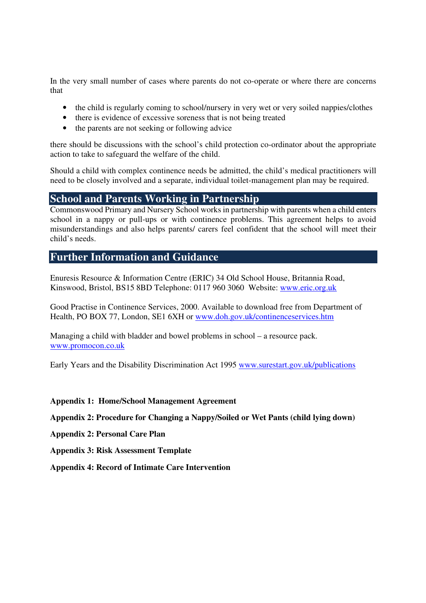In the very small number of cases where parents do not co-operate or where there are concerns that

- the child is regularly coming to school/nursery in very wet or very soiled nappies/clothes
- there is evidence of excessive soreness that is not being treated
- the parents are not seeking or following advice

there should be discussions with the school's child protection co-ordinator about the appropriate action to take to safeguard the welfare of the child.

Should a child with complex continence needs be admitted, the child's medical practitioners will need to be closely involved and a separate, individual toilet-management plan may be required.

## **School and Parents Working in Partnership**

Commonswood Primary and Nursery School works in partnership with parents when a child enters school in a nappy or pull-ups or with continence problems. This agreement helps to avoid misunderstandings and also helps parents/ carers feel confident that the school will meet their child's needs.

## **Further Information and Guidance**

Enuresis Resource & Information Centre (ERIC) 34 Old School House, Britannia Road, Kinswood, Bristol, BS15 8BD Telephone: 0117 960 3060 Website: www.eric.org.uk

Good Practise in Continence Services, 2000. Available to download free from Department of Health, PO BOX 77, London, SE1 6XH or www.doh.gov.uk/continenceservices.htm

Managing a child with bladder and bowel problems in school – a resource pack. www.promocon.co.uk

Early Years and the Disability Discrimination Act 1995 www.surestart.gov.uk/publications

#### **Appendix 1: Home/School Management Agreement**

**Appendix 2: Procedure for Changing a Nappy/Soiled or Wet Pants (child lying down)** 

**Appendix 2: Personal Care Plan** 

**Appendix 3: Risk Assessment Template** 

**Appendix 4: Record of Intimate Care Intervention**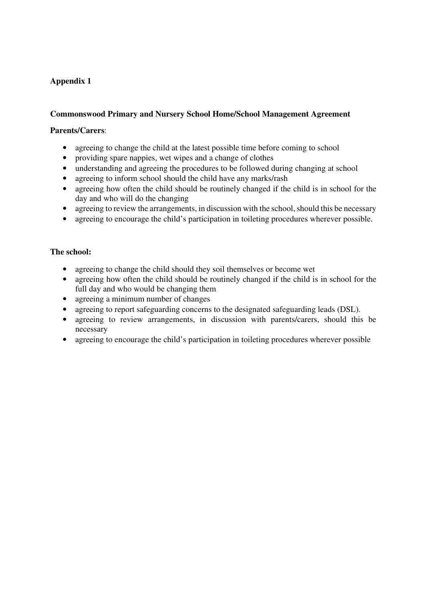### **Commonswood Primary and Nursery School Home/School Management Agreement**

#### **Parents/Carers**:

- agreeing to change the child at the latest possible time before coming to school
- providing spare nappies, wet wipes and a change of clothes
- understanding and agreeing the procedures to be followed during changing at school
- agreeing to inform school should the child have any marks/rash
- agreeing how often the child should be routinely changed if the child is in school for the day and who will do the changing
- agreeing to review the arrangements, in discussion with the school, should this be necessary
- agreeing to encourage the child's participation in toileting procedures wherever possible.

#### **The school:**

- agreeing to change the child should they soil themselves or become wet
- agreeing how often the child should be routinely changed if the child is in school for the full day and who would be changing them
- agreeing a minimum number of changes
- agreeing to report safeguarding concerns to the designated safeguarding leads (DSL).
- agreeing to review arrangements, in discussion with parents/carers, should this be necessary
- agreeing to encourage the child's participation in toileting procedures wherever possible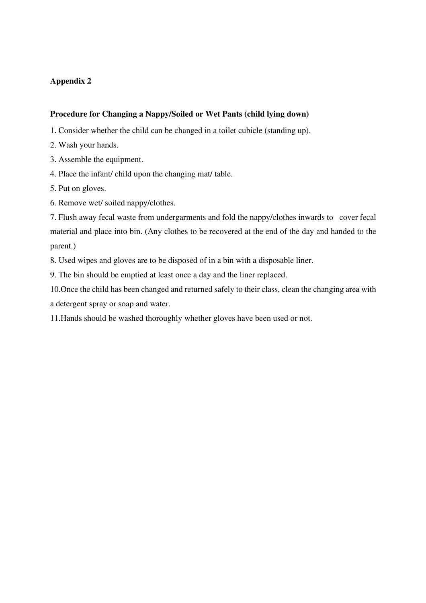#### **Procedure for Changing a Nappy/Soiled or Wet Pants (child lying down)**

- 1. Consider whether the child can be changed in a toilet cubicle (standing up).
- 2. Wash your hands.
- 3. Assemble the equipment.
- 4. Place the infant/ child upon the changing mat/ table.
- 5. Put on gloves.
- 6. Remove wet/ soiled nappy/clothes.

7. Flush away fecal waste from undergarments and fold the nappy/clothes inwards to cover fecal material and place into bin. (Any clothes to be recovered at the end of the day and handed to the parent.)

8. Used wipes and gloves are to be disposed of in a bin with a disposable liner.

9. The bin should be emptied at least once a day and the liner replaced.

10.Once the child has been changed and returned safely to their class, clean the changing area with a detergent spray or soap and water.

11.Hands should be washed thoroughly whether gloves have been used or not.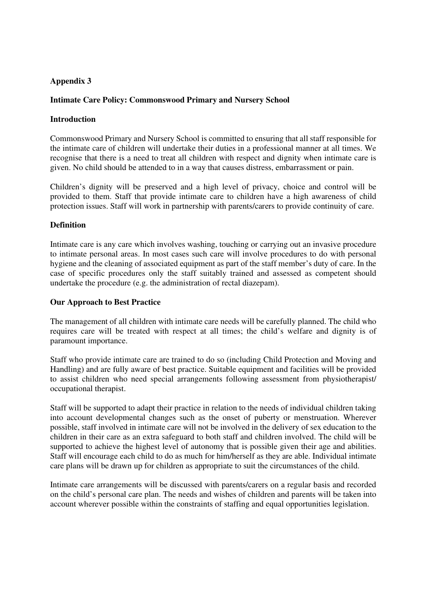#### **Intimate Care Policy: Commonswood Primary and Nursery School**

#### **Introduction**

Commonswood Primary and Nursery School is committed to ensuring that all staff responsible for the intimate care of children will undertake their duties in a professional manner at all times. We recognise that there is a need to treat all children with respect and dignity when intimate care is given. No child should be attended to in a way that causes distress, embarrassment or pain.

Children's dignity will be preserved and a high level of privacy, choice and control will be provided to them. Staff that provide intimate care to children have a high awareness of child protection issues. Staff will work in partnership with parents/carers to provide continuity of care.

#### **Definition**

Intimate care is any care which involves washing, touching or carrying out an invasive procedure to intimate personal areas. In most cases such care will involve procedures to do with personal hygiene and the cleaning of associated equipment as part of the staff member's duty of care. In the case of specific procedures only the staff suitably trained and assessed as competent should undertake the procedure (e.g. the administration of rectal diazepam).

#### **Our Approach to Best Practice**

The management of all children with intimate care needs will be carefully planned. The child who requires care will be treated with respect at all times; the child's welfare and dignity is of paramount importance.

Staff who provide intimate care are trained to do so (including Child Protection and Moving and Handling) and are fully aware of best practice. Suitable equipment and facilities will be provided to assist children who need special arrangements following assessment from physiotherapist/ occupational therapist.

Staff will be supported to adapt their practice in relation to the needs of individual children taking into account developmental changes such as the onset of puberty or menstruation. Wherever possible, staff involved in intimate care will not be involved in the delivery of sex education to the children in their care as an extra safeguard to both staff and children involved. The child will be supported to achieve the highest level of autonomy that is possible given their age and abilities. Staff will encourage each child to do as much for him/herself as they are able. Individual intimate care plans will be drawn up for children as appropriate to suit the circumstances of the child.

Intimate care arrangements will be discussed with parents/carers on a regular basis and recorded on the child's personal care plan. The needs and wishes of children and parents will be taken into account wherever possible within the constraints of staffing and equal opportunities legislation.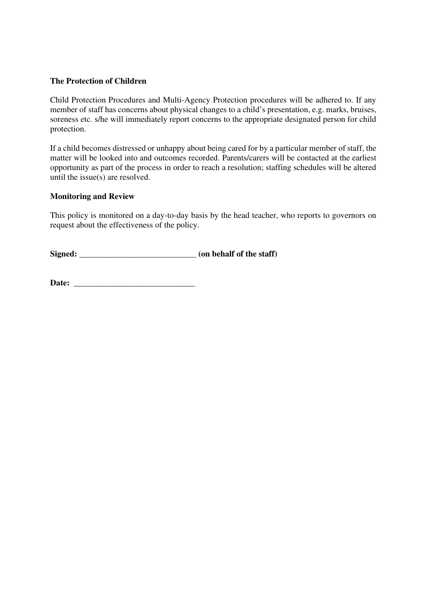#### **The Protection of Children**

Child Protection Procedures and Multi-Agency Protection procedures will be adhered to. If any member of staff has concerns about physical changes to a child's presentation, e.g. marks, bruises, soreness etc. s/he will immediately report concerns to the appropriate designated person for child protection.

If a child becomes distressed or unhappy about being cared for by a particular member of staff, the matter will be looked into and outcomes recorded. Parents/carers will be contacted at the earliest opportunity as part of the process in order to reach a resolution; staffing schedules will be altered until the issue(s) are resolved.

#### **Monitoring and Review**

This policy is monitored on a day-to-day basis by the head teacher, who reports to governors on request about the effectiveness of the policy.

**Signed: \_\_\_\_\_\_\_\_\_\_\_\_\_\_\_\_\_\_\_\_\_\_\_\_\_\_\_\_ (on behalf of the staff)** 

**Date: \_\_\_\_\_\_\_\_\_\_\_\_\_\_\_\_\_\_\_\_\_\_\_\_\_\_\_\_\_**